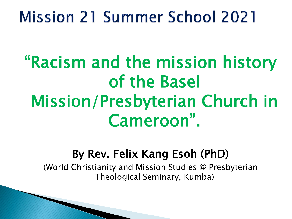# **Mission 21 Summer School 2021**

"Racism and the mission history of the Basel Mission/Presbyterian Church in Cameroon".

#### By Rev. Felix Kang Esoh (PhD)

(World Christianity and Mission Studies @ Presbyterian Theological Seminary, Kumba)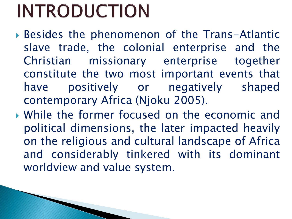# **INTRODUCTION**

- Besides the phenomenon of the Trans-Atlantic slave trade, the colonial enterprise and the Christian missionary enterprise together constitute the two most important events that have positively or negatively shaped contemporary Africa (Njoku 2005).
- While the former focused on the economic and political dimensions, the later impacted heavily on the religious and cultural landscape of Africa and considerably tinkered with its dominant worldview and value system.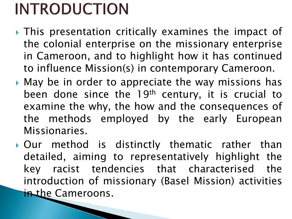# **INTRODUCTION**

- ▶ This presentation critically examines the impact of the colonial enterprise on the missionary enterprise in Cameroon, and to highlight how it has continued to influence Mission(s) in contemporary Cameroon.
- May be in order to appreciate the way missions has been done since the 19<sup>th</sup> century, it is crucial to examine the why, the how and the consequences of the methods employed by the early European Missionaries.
- Our method is distinctly thematic rather than detailed, aiming to representatively highlight the key racist tendencies that characterised the introduction of missionary (Basel Mission) activities in the Cameroons.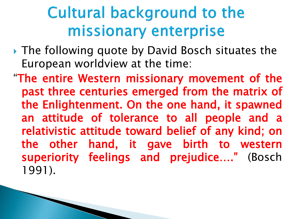# Cultural background to the missionary enterprise

- ▶ The following quote by David Bosch situates the European worldview at the time:
- "The entire Western missionary movement of the past three centuries emerged from the matrix of the Enlightenment. On the one hand, it spawned an attitude of tolerance to all people and a relativistic attitude toward belief of any kind; on the other hand, it gave birth to western superiority feelings and prejudice…." (Bosch 1991).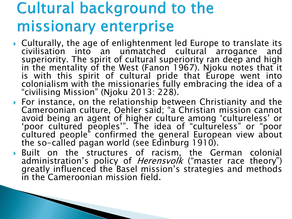## **Cultural background to the** missionary enterprise

- ▶ Culturally, the age of enlightenment led Europe to translate its civilisation into an unmatched cultural arrogance and superiority. The spirit of cultural superiority ran deep and high in the mentality of the West (Fanon 1967). Njoku notes that it is with this spirit of cultural pride that Europe went into colonialism with the missionaries fully embracing the idea of a "civilising Mission" (Njoku 2013: 228).
- For instance, on the relationship between Christianity and the Cameroonian culture, Oehler said; "a Christian mission cannot avoid being an agent of higher culture among 'cultureless' or 'poor cultured peoples'". The idea of "cultureless" or "poor cultured people" confirmed the general European view about the so-called pagan world (see Edinburg 1910).
- Built on the structures of racism, the German colonial administration's policy of *Herensvolk* ("master race theory") greatly influenced the Basel mission's strategies and methods in the Cameroonian mission field.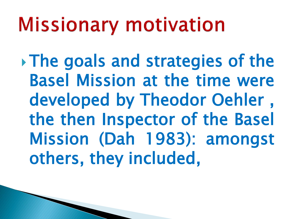# **Missionary motivation**

The goals and strategies of the Basel Mission at the time were developed by Theodor Oehler , the then Inspector of the Basel Mission (Dah 1983): amongst others, they included,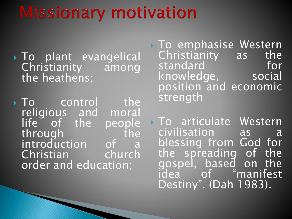# **Missionary motivation**

- To plant evangelical Christianity among the heathens;
- $\triangleright$  To control the religious and moral life of the people through the introduction of a Christian church order and education;
- **To emphasise Western** Christianity as the standard for knowledge, social position and economic strength
- **To articulate Western** civilisation as a blessing from God for the spreading of the gospel, based on the idea of "manifest Destiny". (Dah 1983).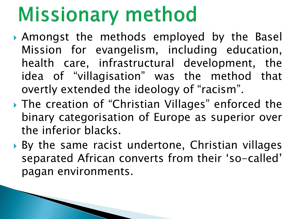# **Missionary method**

- Amongst the methods employed by the Basel Mission for evangelism, including education, health care, infrastructural development, the idea of "villagisation" was the method that overtly extended the ideology of "racism".
- ▶ The creation of "Christian Villages" enforced the binary categorisation of Europe as superior over the inferior blacks.
- ▶ By the same racist undertone, Christian villages separated African converts from their 'so-called' pagan environments.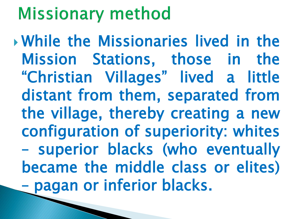# **Missionary method**

 While the Missionaries lived in the Mission Stations, those in the "Christian Villages" lived a little distant from them, separated from the village, thereby creating a new configuration of superiority: whites – superior blacks (who eventually became the middle class or elites) – pagan or inferior blacks.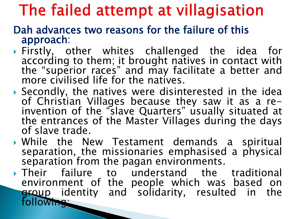# The failed attempt at villagisation

- Dah advances two reasons for the failure of this approach:
- Firstly, other whites challenged the idea for according to them; it brought natives in contact with the "superior races" and may facilitate a better and more civilised life for the natives.
- Secondly, the natives were disinterested in the idea of Christian Villages because they saw it as a reinvention of the "slave Quarters" usually situated at the entrances of the Master Villages during the days of slave trade.
- While the New Testament demands a spiritual separation, the missionaries emphasised a physical separation from the pagan environments.
- Their failure to understand the traditional environment of the people which was based on group identity and solidarity, resulted in the following: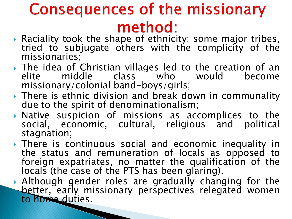# **Consequences of the missionary** method:

- Raciality took the shape of ethnicity; some major tribes, tried to subjugate others with the complicity of the missionaries;
- The idea of Christian villages led to the creation of an elite middle class who would become missionary/colonial band-boys/girls;
- ▶ There is ethnic division and break down in communality due to the spirit of denominationalism;
- Native suspicion of missions as accomplices to the social, economic, cultural, religious and political stagnation;
- ▶ There is continuous social and economic inequality in the status and remuneration of locals as opposed to foreign expatriates, no matter the qualification of the locals (the case of the PTS has been glaring).
- Although gender roles are gradually changing for the better, early missionary perspectives relegated women to home duties.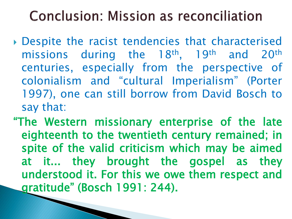### **Conclusion: Mission as reconciliation**

- Despite the racist tendencies that characterised missions during the 18<sup>th</sup>, 19<sup>th</sup> and 20<sup>th</sup> centuries, especially from the perspective of colonialism and "cultural Imperialism" (Porter 1997), one can still borrow from David Bosch to say that:
- "The Western missionary enterprise of the late eighteenth to the twentieth century remained; in spite of the valid criticism which may be aimed at it... they brought the gospel as they understood it. For this we owe them respect and gratitude" (Bosch 1991: 244).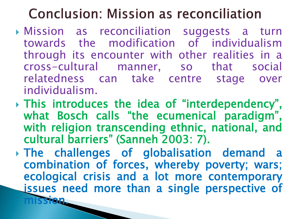### **Conclusion: Mission as reconciliation**

- Mission as reconciliation suggests a turn towards the modification of individualism through its encounter with other realities in a cross-cultural manner, so that social relatedness can take centre stage over individualism.
- This introduces the idea of "interdependency", what Bosch calls "the ecumenical paradigm", with religion transcending ethnic, national, and cultural barriers" (Sanneh 2003: 7).
- The challenges of globalisation demand a combination of forces, whereby poverty; wars; ecological crisis and a lot more contemporary issues need more than a single perspective of mission.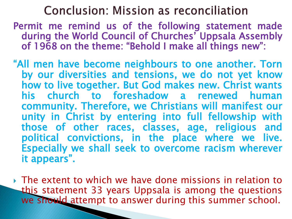#### **Conclusion: Mission as reconciliation**

- Permit me remind us of the following statement made during the World Council of Churches' Uppsala Assembly of 1968 on the theme: "Behold I make all things new":
- "All men have become neighbours to one another. Torn by our diversities and tensions, we do not yet know how to live together. But God makes new. Christ wants his church to foreshadow a renewed human community. Therefore, we Christians will manifest our unity in Christ by entering into full fellowship with those of other races, classes, age, religious and political convictions, in the place where we live. Especially we shall seek to overcome racism wherever it appears".
- The extent to which we have done missions in relation to this statement 33 years Uppsala is among the questions we should attempt to answer during this summer school.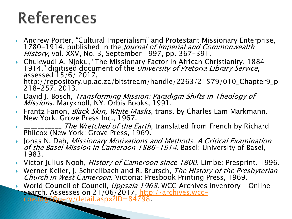# **References**

- Andrew Porter, "Cultural Imperialism" and Protestant Missionary Enterprise, 1780-1914, published in the Journal of Imperial and Commonwealth History, vol. XXV, No. 3, September 1997, pp. 367–391.
- ▶ Chukwudi A. Njoku, "The Missionary Factor in African Christianity, 1884-1914," digitised document of the *University of Pretoria Library Service*, assessed 15/6/ 2017, http://repository.up.ac.za/bitstream/handle/2263/21579/010\_Chapter9\_p 218-257. 2013.
- **David J. Bosch, Transforming Mission: Paradigm Shifts in Theology of** Missions. Maryknoll, NY: Orbis Books, 1991.
- Frantz Fanon, *Black Skin, White Masks*, trans. by Charles Lam Markmann. New York: Grove Press Inc., 1967.
- The Wretched of the Earth, translated from French by Richard Philcox (New York: Grove Press, 1969.
- Jonas N. Dah, Missionary Motivations and Methods: A Critical Examination of the Basel Mission in Cameroon 1886-1914. Basel: University of Basel, 1983.
- Victor Julius Ngoh, *History of Cameroon since 1800.* Limbe: Presprint. 1996.
- Werner Keller, j. Schnellbach and R. Brutsch, *The History of the Presbyterian* Church in West Cameroon. Victoria: Presbook Printing Press, 1969.
- World Council of Council, Uppsala 1968, WCC Archives inventory Online [search. Assesses on 21/06/2017, http://archives.wcc-](http://archives.wcc-coe.org/Query/detail.aspx?ID=84798)

coe.org/Query/detail.aspx?ID=84798.